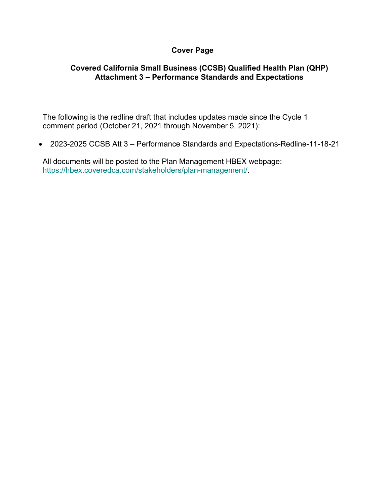## **Cover Page**

## **Covered California Small Business (CCSB) Qualified Health Plan (QHP) Attachment 3 – Performance Standards and Expectations**

The following is the redline draft that includes updates made since the Cycle 1 comment period (October 21, 2021 through November 5, 2021):

• 2023-2025 CCSB Att 3 – Performance Standards and Expectations-Redline-11-18-21

All documents will be posted to the Plan Management HBEX webpage: https://hbex.coveredca.com/stakeholders/plan-management/.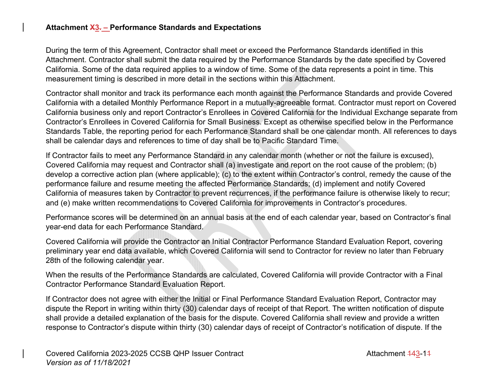## **Attachment X3. – Performance Standards and Expectations**

During the term of this Agreement, Contractor shall meet or exceed the Performance Standards identified in this Attachment. Contractor shall submit the data required by the Performance Standards by the date specified by Covered California. Some of the data required applies to a window of time. Some of the data represents a point in time. This measurement timing is described in more detail in the sections within this Attachment.

Contractor shall monitor and track its performance each month against the Performance Standards and provide Covered California with a detailed Monthly Performance Report in a mutually-agreeable format. Contractor must report on Covered California business only and report Contractor's Enrollees in Covered California for the Individual Exchange separate from Contractor's Enrollees in Covered California for Small Business. Except as otherwise specified below in the Performance Standards Table, the reporting period for each Performance Standard shall be one calendar month. All references to days shall be calendar days and references to time of day shall be to Pacific Standard Time.

If Contractor fails to meet any Performance Standard in any calendar month (whether or not the failure is excused), Covered California may request and Contractor shall (a) investigate and report on the root cause of the problem; (b) develop a corrective action plan (where applicable); (c) to the extent within Contractor's control, remedy the cause of the performance failure and resume meeting the affected Performance Standards; (d) implement and notify Covered California of measures taken by Contractor to prevent recurrences, if the performance failure is otherwise likely to recur; and (e) make written recommendations to Covered California for improvements in Contractor's procedures.

Performance scores will be determined on an annual basis at the end of each calendar year, based on Contractor's final year-end data for each Performance Standard.

Covered California will provide the Contractor an Initial Contractor Performance Standard Evaluation Report, covering preliminary year end data available, which Covered California will send to Contractor for review no later than February 28th of the following calendar year.

When the results of the Performance Standards are calculated, Covered California will provide Contractor with a Final Contractor Performance Standard Evaluation Report.

If Contractor does not agree with either the Initial or Final Performance Standard Evaluation Report, Contractor may dispute the Report in writing within thirty (30) calendar days of receipt of that Report. The written notification of dispute shall provide a detailed explanation of the basis for the dispute. Covered California shall review and provide a written response to Contractor's dispute within thirty (30) calendar days of receipt of Contractor's notification of dispute. If the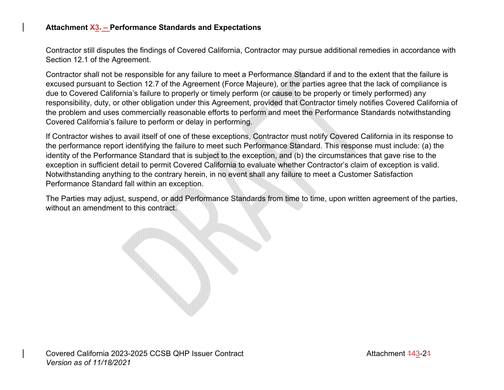## **Attachment X3. – Performance Standards and Expectations**

Contractor still disputes the findings of Covered California, Contractor may pursue additional remedies in accordance with Section 12.1 of the Agreement.

Contractor shall not be responsible for any failure to meet a Performance Standard if and to the extent that the failure is excused pursuant to Section 12.7 of the Agreement (Force Majeure), or the parties agree that the lack of compliance is due to Covered California's failure to properly or timely perform (or cause to be properly or timely performed) any responsibility, duty, or other obligation under this Agreement, provided that Contractor timely notifies Covered California of the problem and uses commercially reasonable efforts to perform and meet the Performance Standards notwithstanding Covered California's failure to perform or delay in performing.

If Contractor wishes to avail itself of one of these exceptions, Contractor must notify Covered California in its response to the performance report identifying the failure to meet such Performance Standard. This response must include: (a) the identity of the Performance Standard that is subject to the exception, and (b) the circumstances that gave rise to the exception in sufficient detail to permit Covered California to evaluate whether Contractor's claim of exception is valid. Notwithstanding anything to the contrary herein, in no event shall any failure to meet a Customer Satisfaction Performance Standard fall within an exception.

The Parties may adjust, suspend, or add Performance Standards from time to time, upon written agreement of the parties, without an amendment to this contract.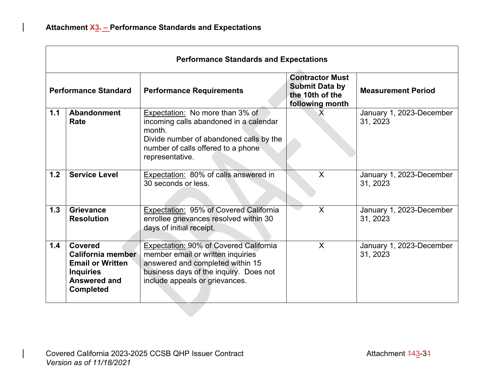| <b>Performance Standards and Expectations</b> |                                                                                                                               |                                                                                                                                                                                                    |                                                                                       |                                      |  |  |
|-----------------------------------------------|-------------------------------------------------------------------------------------------------------------------------------|----------------------------------------------------------------------------------------------------------------------------------------------------------------------------------------------------|---------------------------------------------------------------------------------------|--------------------------------------|--|--|
| <b>Performance Standard</b>                   |                                                                                                                               | <b>Performance Requirements</b>                                                                                                                                                                    | <b>Contractor Must</b><br><b>Submit Data by</b><br>the 10th of the<br>following month | <b>Measurement Period</b>            |  |  |
| 1.1                                           | Abandonment<br>Rate                                                                                                           | Expectation: No more than 3% of<br>incoming calls abandoned in a calendar<br>month.<br>Divide number of abandoned calls by the<br>number of calls offered to a phone<br>representative.            | $\mathsf{X}$                                                                          | January 1, 2023-December<br>31, 2023 |  |  |
| 1.2                                           | <b>Service Level</b>                                                                                                          | Expectation: 80% of calls answered in<br>30 seconds or less.                                                                                                                                       | X                                                                                     | January 1, 2023-December<br>31, 2023 |  |  |
| 1.3                                           | Grievance<br><b>Resolution</b>                                                                                                | Expectation: 95% of Covered California<br>enrollee grievances resolved within 30<br>days of initial receipt.                                                                                       | X                                                                                     | January 1, 2023-December<br>31, 2023 |  |  |
| 1.4                                           | <b>Covered</b><br><b>California member</b><br><b>Email or Written</b><br><b>Inquiries</b><br>Answered and<br><b>Completed</b> | <b>Expectation: 90% of Covered California</b><br>member email or written inquiries<br>answered and completed within 15<br>business days of the inquiry. Does not<br>include appeals or grievances. | X                                                                                     | January 1, 2023-December<br>31, 2023 |  |  |